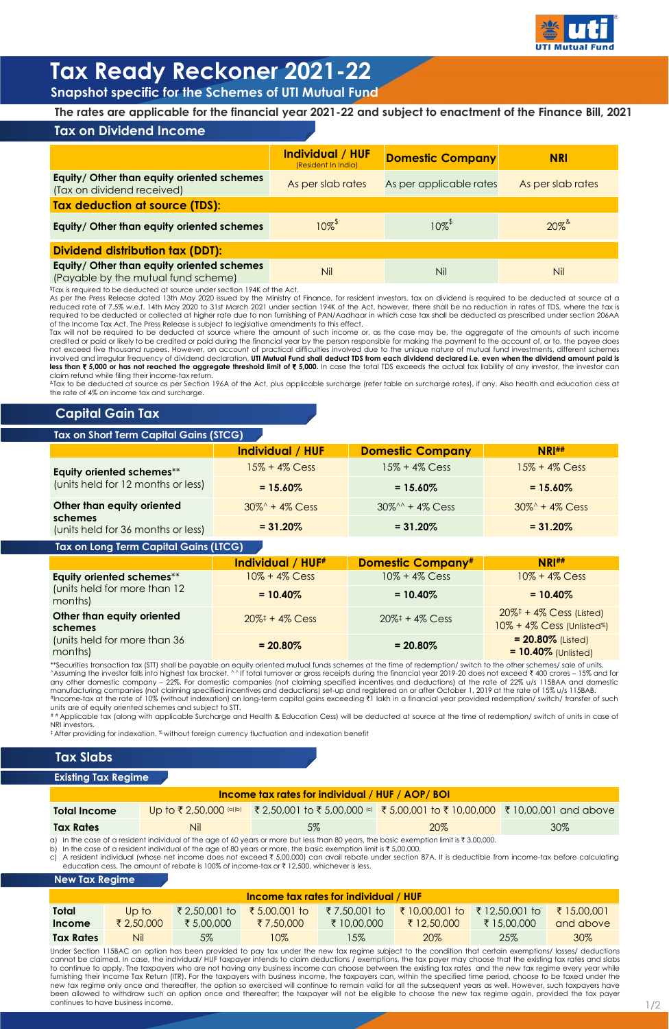|                                                                                   | Individual / HUF<br>(Resident In India) | <b>Domestic Company</b>          | <b>NRI</b>        |  |  |  |
|-----------------------------------------------------------------------------------|-----------------------------------------|----------------------------------|-------------------|--|--|--|
| Equity/ Other than equity oriented schemes<br>(Tax on dividend received)          | As per slab rates                       | As per applicable rates          | As per slab rates |  |  |  |
| Tax deduction at source (TDS):                                                    |                                         |                                  |                   |  |  |  |
| Equity/ Other than equity oriented schemes                                        | $10\%$ <sup>\$</sup>                    | $10\%$ <sup><math>*</math></sup> | $20\%$            |  |  |  |
| <b>Dividend distribution tax (DDT):</b>                                           |                                         |                                  |                   |  |  |  |
| Equity/ Other than equity oriented schemes<br>(Payable by the mutual fund scheme) | Nil                                     | Nil                              | <b>Nil</b>        |  |  |  |

**The rates are applicable for the financial year 2021-22 and subject to enactment of the Finance Bill, 2021**

|                                                                 | Individual / HUF  | <b>Domestic Company</b> | <b>NRI##</b>      |
|-----------------------------------------------------------------|-------------------|-------------------------|-------------------|
| Equity oriented schemes**<br>(units held for 12 months or less) | $15% + 4%$ Cess   | $15\% + 4\%$ Cess       |                   |
|                                                                 | $= 15.60\%$       | $= 15.60\%$             | $= 15.60\%$       |
| Other than equity oriented                                      | $30\% + 4\%$ Cess | $30\%0 + 4\%$ Cess      | $30\% + 4\%$ Cess |
| schemes<br>(units held for 36 months or less)                   | $= 31.20\%$       | $= 31.20\%$             | $= 31.20\%$       |

|                                                                                          | <b>Individual / HUF#</b>                          | <b>Domestic Company#</b>                          | NRI#                                                                                                     |
|------------------------------------------------------------------------------------------|---------------------------------------------------|---------------------------------------------------|----------------------------------------------------------------------------------------------------------|
| Equity oriented schemes**                                                                | $10\% + 4\%$ Cess                                 | $10\% + 4\%$ Cess                                 | $10\% + 4\%$ Cess                                                                                        |
| (units held for more than 12<br>months)                                                  | $= 10.40\%$                                       | $= 10.40\%$                                       | $= 10.40\%$                                                                                              |
| Other than equity oriented<br>schemes<br>(units held for more than 36<br>المملكمات مماري | $20\%$ <sup><math>\ddagger</math></sup> + 4% Cess | $20\%$ <sup><math>\ddagger</math></sup> + 4% Cess | $20\%$ <sup><math>\ddagger</math></sup> + 4% Cess (Listed)<br>$10\% + 4\%$ Cess (Unlisted <sup>%</sup> ) |
|                                                                                          | $= 20.80\%$                                       | $= 20.80\%$                                       | $= 20.80\%$ (Listed)<br>$-10.107$ $\cdots$ $\cdots$                                                      |

| months)             | $= 20.80\%$ | $= 20.80\%$ | $\vert$ = 10.40% (Unlisted) |
|---------------------|-------------|-------------|-----------------------------|
| $(0.771 \pm 0.011)$ |             | .           |                             |



# **Tax Ready Reckoner 2021-22**

**Snapshot specific for the Schemes of UTI Mutual Fund**

# **Tax on Dividend Income**

\$Tax is required to be deducted at source under section 194K of the Act.

As per the Press Release dated 13th May 2020 issued by the Ministry of Finance, for resident investors, tax on dividend is required to be deducted at source at a reduced rate of 7.5% w.e.f. 14th May 2020 to 31st March 2021 under section 194K of the Act, however, there shall be no reduction in rates of TDS, where the tax is required to be deducted or collected at higher rate due to non furnishing of PAN/Aadhaar in which case tax shall be deducted as prescribed under section 206AA of the Income Tax Act. The Press Release is subject to legislative amendments to this effect.

# # Applicable tax (along with applicable Surcharge and Health & Education Cess) will be deducted at source at the time of redemption/ switch of units in case of NRI investors.

 $^\ddag$  After providing for indexation.  $\%$  without foreign currency fluctuation and indexation benefit

Tax will not be required to be deducted at source where the amount of such income or, as the case may be, the aggregate of the amounts of such income credited or paid or likely to be credited or paid during the financial year by the person responsible for making the payment to the account of, or to, the payee does not exceed five thousand rupees. However, on account of practical difficulties involved due to the unique nature of mutual fund investments, different schemes involved and irregular frequency of dividend declaration, UTI Mutual Fund shall deduct TDS from each dividend declared i.e. even when the dividend amount paid is less than ₹ 5,000 or has not reached the aggregate threshold limit of ₹ 5,000. In case the total TDS exceeds the actual tax liability of any investor, the investor can claim refund while filing their income-tax return.

Under Section 115BAC an option has been provided to pay tax under the new tax regime subject to the condition that certain exemptions/ losses/ deductions cannot be claimed. In case, the individual/ HUF taxpayer intends to claim deductions / exemptions, the tax payer may choose that the existing tax rates and slabs to continue to apply. The taxpayers who are not having any business income can choose between the existing tax rates and the new tax regime every year while furnishing their Income Tax Return (ITR). For the taxpayers with business income, the taxpayers can, within the specified time period, choose to be taxed under the new tax regime only once and thereafter, the option so exercised will continue to remain valid for all the subsequent years as well. However, such taxpayers have been allowed to withdraw such an option once and thereafter; the taxpayer will not be eligible to choose the new tax regime again, provided the tax payer continues to have business income.  $1/2$ 

&Tax to be deducted at source as per Section 196A of the Act, plus applicable surcharge (refer table on surcharge rates), if any. Also health and education cess at the rate of 4% on income tax and surcharge.

\*\*Securities transaction tax (STT) shall be payable on equity oriented mutual funds schemes at the time of redemption/ switch to the other schemes/ sale of units. ^Assuming the investor falls into highest tax bracket. ^^If total turnover or gross receipts during the financial year 2019-20 does not exceed ₹ 400 crores – 15% and for any other domestic company – 22%. For domestic companies (not claiming specified incentives and deductions) at the rate of 22% u/s 115BAA and domestic manufacturing companies (not claiming specified incentives and deductions) set-up and registered on or after October 1, 2019 at the rate of 15% u/s 115BAB. #Income-tax at the rate of 10% (without indexation) on long-term capital gains exceeding ₹1 lakh in a financial year provided redemption/ switch/ transfer of such units are of equity oriented schemes and subject to STT.

| <b>Income tax rates for individual / HUF / AOP/ BOI</b> |     |                                                                                                |     |     |  |  |
|---------------------------------------------------------|-----|------------------------------------------------------------------------------------------------|-----|-----|--|--|
| <b>Total Income</b>                                     |     | Up to ₹2,50,000 (a)(b) ₹2,50,001 to ₹5,00,000 (c) ₹5,00,001 to ₹10,00,000 ₹10,00,001 and above |     |     |  |  |
| <b>Tax Rates</b>                                        | Nil | 5%                                                                                             | 20% | 30% |  |  |

a) In the case of a resident individual of the age of 60 years or more but less than 80 years, the basic exemption limit is  $\bar{\tau}$  3,00,000.

b) In the case of a resident individual of the age of 80 years or more, the basic exemption limit is  $\bar{\tau}$  5,00,000.

c) A resident individual (whose net income does not exceed  $\overline{\tau}$  5,00,000) can avail rebate under section 87A. It is deductible from income-tax before calculating education cess. The amount of rebate is 100% of income-tax or  $\bar{\tau}$  12,500, whichever is less.

## **Tax Slabs**

| <b>Income tax rates for individual / HUF</b> |            |              |               |              |                |                |             |
|----------------------------------------------|------------|--------------|---------------|--------------|----------------|----------------|-------------|
| <b>Total</b>                                 | Up to      | ₹2,50,001 to | ₹ 5,00,001 to | ₹7,50,001 to | ₹ 10,00,001 to | ₹ 12,50,001 to | ₹ 15,00,001 |
| Income                                       | ₹ 2,50,000 | ₹ 5,00,000   | ₹7,50,000     | ₹ 10,00,000  | ₹ 12,50,000    | ₹ 15,00,000    | and above   |
| <b>Tax Rates</b>                             | Nil        | $5\%$        | 10%           | $15\%$       | 20%            | 25%            | 30%         |

#### **New Tax Regime**

#### **Existing Tax Regime**

# **Capital Gain Tax**

## **Tax on Short Term Capital Gains (STCG)**

## **Tax on Long Term Capital Gains (LTCG)**